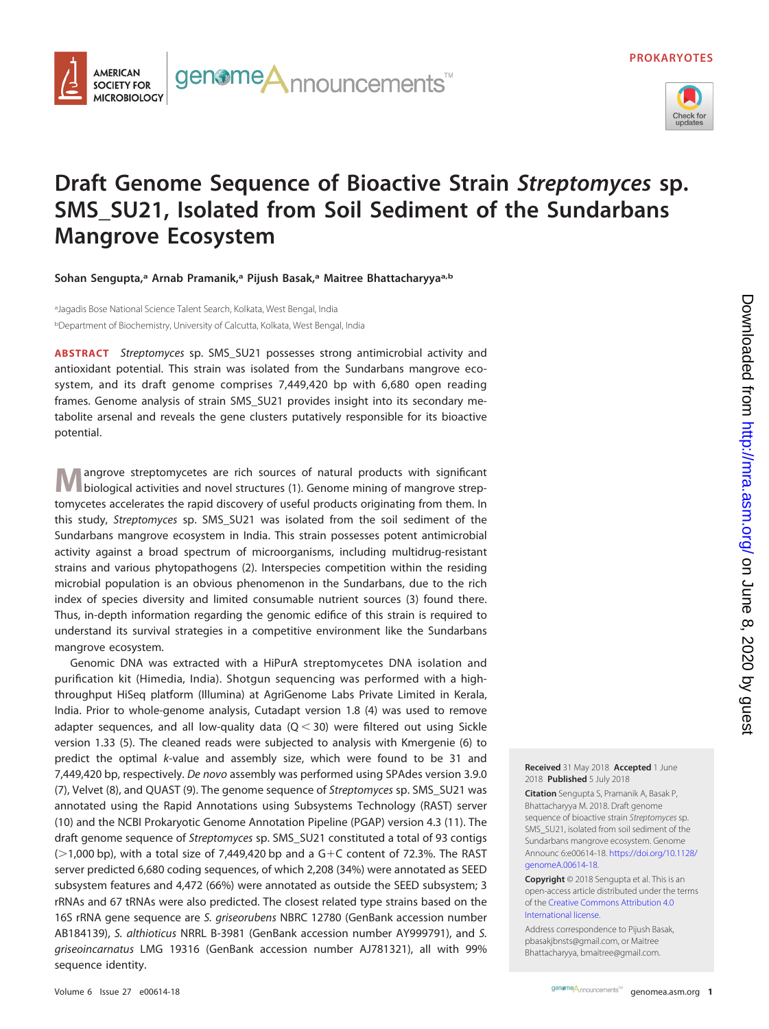

## **Draft Genome Sequence of Bioactive Strain Streptomyces sp. SMS\_SU21, Isolated from Soil Sediment of the Sundarbans Mangrove Ecosystem**

genome**A**<sub>nnouncements<sup>™</sup></sub>

Sohan Sengupta,<sup>a</sup> Arnab Pramanik,<sup>a</sup> Pijush Basak,<sup>a</sup> Maitree Bhattacharyya<sup>a,b</sup>

<sup>a</sup>Jagadis Bose National Science Talent Search, Kolkata, West Bengal, India <sup>b</sup>Department of Biochemistry, University of Calcutta, Kolkata, West Bengal, India

**AMERICAN SOCIETY FOR MICROBIOLOGY** 

**ABSTRACT** Streptomyces sp. SMS\_SU21 possesses strong antimicrobial activity and antioxidant potential. This strain was isolated from the Sundarbans mangrove ecosystem, and its draft genome comprises 7,449,420 bp with 6,680 open reading frames. Genome analysis of strain SMS\_SU21 provides insight into its secondary metabolite arsenal and reveals the gene clusters putatively responsible for its bioactive potential.

**M** angrove streptomycetes are rich sources of natural products with significant biological activities and novel structures [\(1\)](#page-1-0). Genome mining of mangrove streptomycetes accelerates the rapid discovery of useful products originating from them. In this study, Streptomyces sp. SMS\_SU21 was isolated from the soil sediment of the Sundarbans mangrove ecosystem in India. This strain possesses potent antimicrobial activity against a broad spectrum of microorganisms, including multidrug-resistant strains and various phytopathogens [\(2\)](#page-1-1). Interspecies competition within the residing microbial population is an obvious phenomenon in the Sundarbans, due to the rich index of species diversity and limited consumable nutrient sources [\(3\)](#page-1-2) found there. Thus, in-depth information regarding the genomic edifice of this strain is required to understand its survival strategies in a competitive environment like the Sundarbans mangrove ecosystem.

Genomic DNA was extracted with a HiPurA streptomycetes DNA isolation and purification kit (Himedia, India). Shotgun sequencing was performed with a highthroughput HiSeq platform (Illumina) at AgriGenome Labs Private Limited in Kerala, India. Prior to whole-genome analysis, Cutadapt version 1.8 [\(4\)](#page-1-3) was used to remove adapter sequences, and all low-quality data  $(Q < 30)$  were filtered out using Sickle version 1.33 [\(5\)](#page-1-4). The cleaned reads were subjected to analysis with Kmergenie [\(6\)](#page-1-5) to predict the optimal k-value and assembly size, which were found to be 31 and 7,449,420 bp, respectively. De novo assembly was performed using SPAdes version 3.9.0 [\(7\)](#page-1-6), Velvet [\(8\)](#page-1-7), and QUAST [\(9\)](#page-1-8). The genome sequence of Streptomyces sp. SMS\_SU21 was annotated using the Rapid Annotations using Subsystems Technology (RAST) server [\(10\)](#page-1-9) and the NCBI Prokaryotic Genome Annotation Pipeline (PGAP) version 4.3 [\(11\)](#page-1-10). The draft genome sequence of Streptomyces sp. SMS\_SU21 constituted a total of 93 contigs  $(>1,000$  bp), with a total size of 7,449,420 bp and a G+C content of 72.3%. The RAST server predicted 6,680 coding sequences, of which 2,208 (34%) were annotated as SEED subsystem features and 4,472 (66%) were annotated as outside the SEED subsystem; 3 rRNAs and 67 tRNAs were also predicted. The closest related type strains based on the 16S rRNA gene sequence are S. griseorubens NBRC 12780 (GenBank accession number AB184139), S. althioticus NRRL B-3981 (GenBank accession number AY999791), and S. griseoincarnatus LMG 19316 (GenBank accession number AJ781321), all with 99% sequence identity.

**Received** 31 May 2018 **Accepted** 1 June 2018 **Published** 5 July 2018

**Citation** Sengupta S, Pramanik A, Basak P, Bhattacharyya M. 2018. Draft genome sequence of bioactive strain Streptomyces sp. SMS SU21, isolated from soil sediment of the Sundarbans mangrove ecosystem. Genome Announc 6:e00614-18. [https://doi.org/10.1128/](https://doi.org/10.1128/genomeA.00614-18) [genomeA.00614-18.](https://doi.org/10.1128/genomeA.00614-18)

**Copyright** © 2018 Sengupta et al. This is an open-access article distributed under the terms of the [Creative Commons Attribution 4.0](https://creativecommons.org/licenses/by/4.0/) [International](https://creativecommons.org/licenses/by/4.0/) license.

Address correspondence to Pijush Basak, [pbasakjbnsts@gmail.com,](mailto:pbasakjbnsts@gmail.com) or Maitree Bhattacharyya, [bmaitree@gmail.com.](mailto:bmaitree@gmail.com)